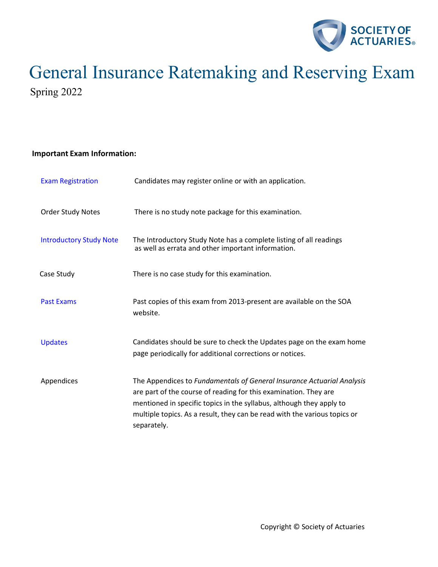

# General Insurance Ratemaking and Reserving Exam Spring 2022

# **Important Exam Information:**

| <b>Exam Registration</b>       | Candidates may register online or with an application.                                                                                                                                                                                                                                                         |
|--------------------------------|----------------------------------------------------------------------------------------------------------------------------------------------------------------------------------------------------------------------------------------------------------------------------------------------------------------|
| <b>Order Study Notes</b>       | There is no study note package for this examination.                                                                                                                                                                                                                                                           |
| <b>Introductory Study Note</b> | The Introductory Study Note has a complete listing of all readings<br>as well as errata and other important information.                                                                                                                                                                                       |
| Case Study                     | There is no case study for this examination.                                                                                                                                                                                                                                                                   |
| <b>Past Exams</b>              | Past copies of this exam from 2013-present are available on the SOA<br>website.                                                                                                                                                                                                                                |
| <b>Updates</b>                 | Candidates should be sure to check the Updates page on the exam home<br>page periodically for additional corrections or notices.                                                                                                                                                                               |
| Appendices                     | The Appendices to Fundamentals of General Insurance Actuarial Analysis<br>are part of the course of reading for this examination. They are<br>mentioned in specific topics in the syllabus, although they apply to<br>multiple topics. As a result, they can be read with the various topics or<br>separately. |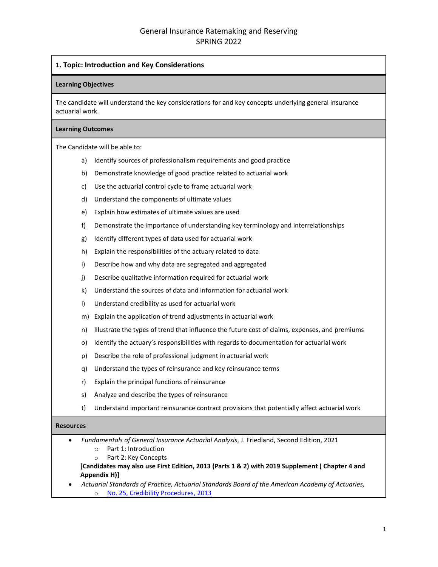# **1. Topic: Introduction and Key Considerations**

#### **Learning Objectives**

The candidate will understand the key considerations for and key concepts underlying general insurance actuarial work.

#### **Learning Outcomes**

The Candidate will be able to:

- a) Identify sources of professionalism requirements and good practice
- b) Demonstrate knowledge of good practice related to actuarial work
- c) Use the actuarial control cycle to frame actuarial work
- d) Understand the components of ultimate values
- e) Explain how estimates of ultimate values are used
- f) Demonstrate the importance of understanding key terminology and interrelationships
- g) Identify different types of data used for actuarial work
- h) Explain the responsibilities of the actuary related to data
- i) Describe how and why data are segregated and aggregated
- j) Describe qualitative information required for actuarial work
- k) Understand the sources of data and information for actuarial work
- l) Understand credibility as used for actuarial work
- m) Explain the application of trend adjustments in actuarial work
- n) Illustrate the types of trend that influence the future cost of claims, expenses, and premiums
- o) Identify the actuary's responsibilities with regards to documentation for actuarial work
- p) Describe the role of professional judgment in actuarial work
- q) Understand the types of reinsurance and key reinsurance terms
- r) Explain the principal functions of reinsurance
- s) Analyze and describe the types of reinsurance
- t) Understand important reinsurance contract provisions that potentially affect actuarial work

## **Resources**

- *Fundamentals of General Insurance Actuarial Analysis*, J. Friedland, Second Edition, 2021
	- o Part 1: Introduction
	- o Part 2: Key Concepts

**[Candidates may also use First Edition, 2013 (Parts 1 & 2) with 2019 Supplement ( Chapter 4 and Appendix H)]**

• *Actuarial Standards of Practice, Actuarial Standards Board of the American Academy of Actuaries,* o [No. 25, Credibility Procedures, 2013](http://www.actuarialstandardsboard.org/wp-content/uploads/2014/02/asop025_174.pdf)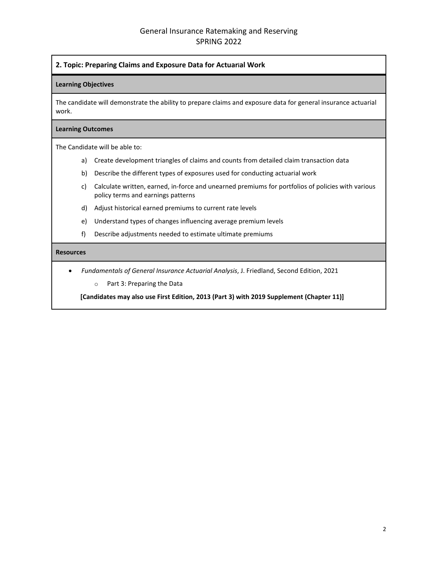# **2. Topic: Preparing Claims and Exposure Data for Actuarial Work**

#### **Learning Objectives**

The candidate will demonstrate the ability to prepare claims and exposure data for general insurance actuarial work.

#### **Learning Outcomes**

The Candidate will be able to:

- a) Create development triangles of claims and counts from detailed claim transaction data
- b) Describe the different types of exposures used for conducting actuarial work
- c) Calculate written, earned, in-force and unearned premiums for portfolios of policies with various policy terms and earnings patterns
- d) Adjust historical earned premiums to current rate levels
- e) Understand types of changes influencing average premium levels
- f) Describe adjustments needed to estimate ultimate premiums

#### **Resources**

- *Fundamentals of General Insurance Actuarial Analysis*, J. Friedland, Second Edition, 2021
	- o Part 3: Preparing the Data

**[Candidates may also use First Edition, 2013 (Part 3) with 2019 Supplement (Chapter 11)]**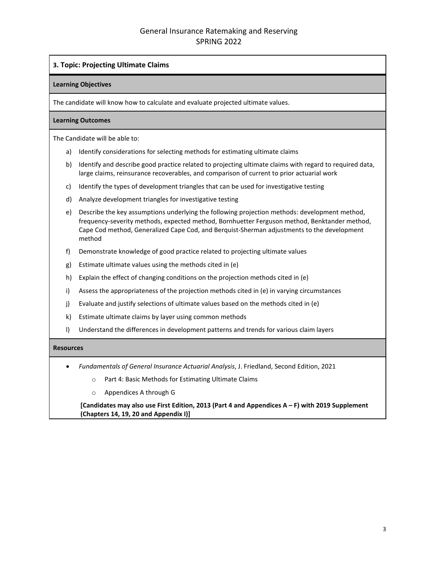# **3. Topic: Projecting Ultimate Claims**

#### **Learning Objectives**

The candidate will know how to calculate and evaluate projected ultimate values.

#### **Learning Outcomes**

The Candidate will be able to:

- a) Identify considerations for selecting methods for estimating ultimate claims
- b) Identify and describe good practice related to projecting ultimate claims with regard to required data, large claims, reinsurance recoverables, and comparison of current to prior actuarial work
- c) Identify the types of development triangles that can be used for investigative testing
- d) Analyze development triangles for investigative testing
- e) Describe the key assumptions underlying the following projection methods: development method, frequency-severity methods, expected method, Bornhuetter Ferguson method, Benktander method, Cape Cod method, Generalized Cape Cod, and Berquist-Sherman adjustments to the development method
- f) Demonstrate knowledge of good practice related to projecting ultimate values
- g) Estimate ultimate values using the methods cited in (e)
- h) Explain the effect of changing conditions on the projection methods cited in (e)
- i) Assess the appropriateness of the projection methods cited in (e) in varying circumstances
- j) Evaluate and justify selections of ultimate values based on the methods cited in (e)
- k) Estimate ultimate claims by layer using common methods
- l) Understand the differences in development patterns and trends for various claim layers

#### **Resources**

- *Fundamentals of General Insurance Actuarial Analysis*, J. Friedland, Second Edition, 2021
	- o Part 4: Basic Methods for Estimating Ultimate Claims
	- o Appendices A through G

**[Candidates may also use First Edition, 2013 (Part 4 and Appendices A – F) with 2019 Supplement (Chapters 14, 19, 20 and Appendix I)]**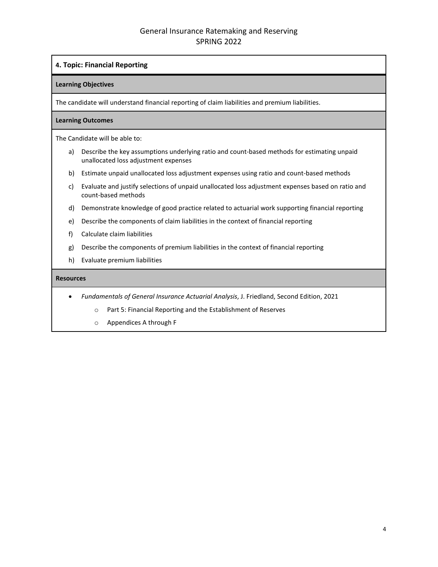# **4. Topic: Financial Reporting**

# **Learning Objectives**

The candidate will understand financial reporting of claim liabilities and premium liabilities.

# **Learning Outcomes**

The Candidate will be able to:

- a) Describe the key assumptions underlying ratio and count-based methods for estimating unpaid unallocated loss adjustment expenses
- b) Estimate unpaid unallocated loss adjustment expenses using ratio and count-based methods
- c) Evaluate and justify selections of unpaid unallocated loss adjustment expenses based on ratio and count-based methods
- d) Demonstrate knowledge of good practice related to actuarial work supporting financial reporting
- e) Describe the components of claim liabilities in the context of financial reporting
- f) Calculate claim liabilities
- g) Describe the components of premium liabilities in the context of financial reporting
- h) Evaluate premium liabilities

- *Fundamentals of General Insurance Actuarial Analysis*, J. Friedland, Second Edition, 2021
	- o Part 5: Financial Reporting and the Establishment of Reserves
	- o Appendices A through F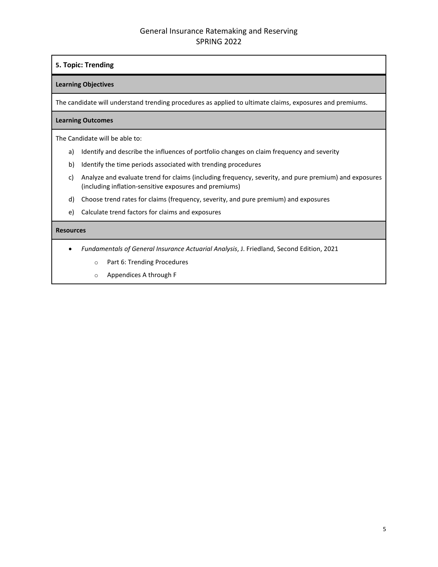# General Insurance Ratemaking and Reserving SPRING 2022

# **5. Topic: Trending**

# **Learning Objectives**

The candidate will understand trending procedures as applied to ultimate claims, exposures and premiums.

# **Learning Outcomes**

The Candidate will be able to:

- a) Identify and describe the influences of portfolio changes on claim frequency and severity
- b) Identify the time periods associated with trending procedures
- c) Analyze and evaluate trend for claims (including frequency, severity, and pure premium) and exposures (including inflation-sensitive exposures and premiums)
- d) Choose trend rates for claims (frequency, severity, and pure premium) and exposures
- e) Calculate trend factors for claims and exposures

- *Fundamentals of General Insurance Actuarial Analysis*, J. Friedland, Second Edition, 2021
	- o Part 6: Trending Procedures
	- o Appendices A through F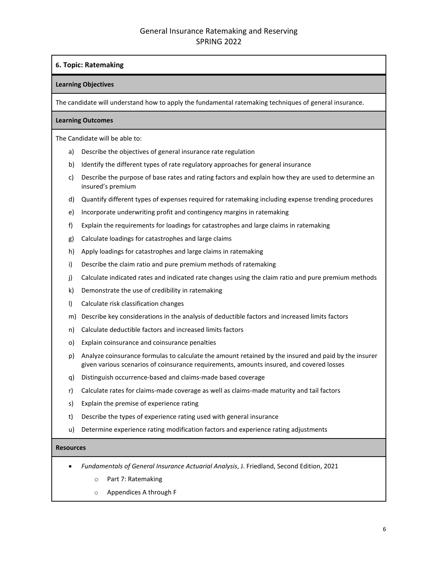# **6. Topic: Ratemaking**

# **Learning Objectives**

The candidate will understand how to apply the fundamental ratemaking techniques of general insurance.

# **Learning Outcomes**

The Candidate will be able to:

- a) Describe the objectives of general insurance rate regulation
- b) Identify the different types of rate regulatory approaches for general insurance
- c) Describe the purpose of base rates and rating factors and explain how they are used to determine an insured's premium
- d) Quantify different types of expenses required for ratemaking including expense trending procedures
- e) Incorporate underwriting profit and contingency margins in ratemaking
- f) Explain the requirements for loadings for catastrophes and large claims in ratemaking
- g) Calculate loadings for catastrophes and large claims
- h) Apply loadings for catastrophes and large claims in ratemaking
- i) Describe the claim ratio and pure premium methods of ratemaking
- j) Calculate indicated rates and indicated rate changes using the claim ratio and pure premium methods
- k) Demonstrate the use of credibility in ratemaking
- l) Calculate risk classification changes
- m) Describe key considerations in the analysis of deductible factors and increased limits factors
- n) Calculate deductible factors and increased limits factors
- o) Explain coinsurance and coinsurance penalties
- p) Analyze coinsurance formulas to calculate the amount retained by the insured and paid by the insurer given various scenarios of coinsurance requirements, amounts insured, and covered losses
- q) Distinguish occurrence-based and claims-made based coverage
- r) Calculate rates for claims-made coverage as well as claims-made maturity and tail factors
- s) Explain the premise of experience rating
- t) Describe the types of experience rating used with general insurance
- u) Determine experience rating modification factors and experience rating adjustments

- *Fundamentals of General Insurance Actuarial Analysis*, J. Friedland, Second Edition, 2021
	- o Part 7: Ratemaking
	- o Appendices A through F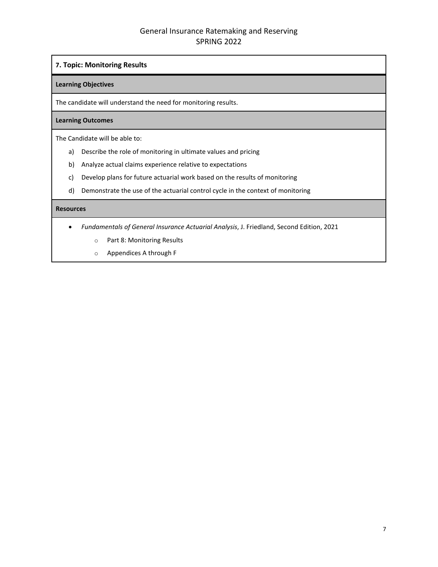# General Insurance Ratemaking and Reserving SPRING 2022

# **7. Topic: Monitoring Results**

#### **Learning Objectives**

The candidate will understand the need for monitoring results.

# **Learning Outcomes**

The Candidate will be able to:

- a) Describe the role of monitoring in ultimate values and pricing
- b) Analyze actual claims experience relative to expectations
- c) Develop plans for future actuarial work based on the results of monitoring
- d) Demonstrate the use of the actuarial control cycle in the context of monitoring

- *Fundamentals of General Insurance Actuarial Analysis*, J. Friedland, Second Edition, 2021
	- o Part 8: Monitoring Results
	- o Appendices A through F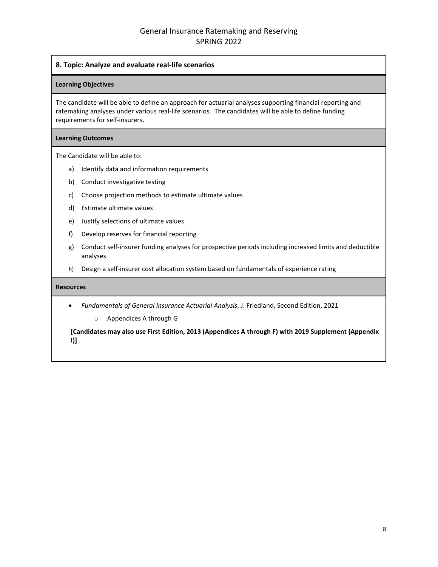# **8. Topic: Analyze and evaluate real-life scenarios**

#### **Learning Objectives**

The candidate will be able to define an approach for actuarial analyses supporting financial reporting and ratemaking analyses under various real-life scenarios. The candidates will be able to define funding requirements for self-insurers.

#### **Learning Outcomes**

The Candidate will be able to:

- a) Identify data and information requirements
- b) Conduct investigative testing
- c) Choose projection methods to estimate ultimate values
- d) Estimate ultimate values
- e) Justify selections of ultimate values
- f) Develop reserves for financial reporting
- g) Conduct self-insurer funding analyses for prospective periods including increased limits and deductible analyses
- h) Design a self-insurer cost allocation system based on fundamentals of experience rating

# **Resources**

• *Fundamentals of General Insurance Actuarial Analysis*, J. Friedland, Second Edition, 2021

o Appendices A through G

**[Candidates may also use First Edition, 2013 (Appendices A through F) with 2019 Supplement (Appendix I)]**